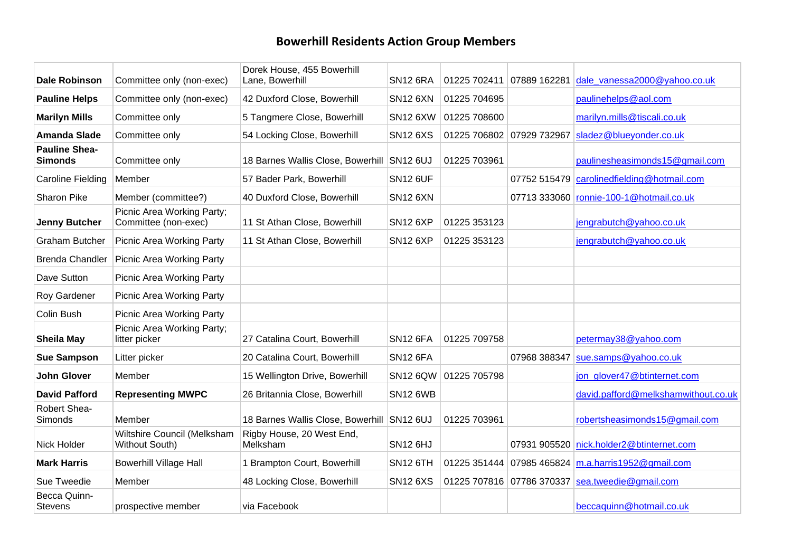## **Bowerhill Residents Action Group Members**

| <b>Dale Robinson</b>                   | Committee only (non-exec)                          | Dorek House, 455 Bowerhill<br>Lane, Bowerhill | <b>SN12 6RA</b> |              | 01225 702411 07889 162281 | dale vanessa2000@yahoo.co.uk                          |
|----------------------------------------|----------------------------------------------------|-----------------------------------------------|-----------------|--------------|---------------------------|-------------------------------------------------------|
| <b>Pauline Helps</b>                   | Committee only (non-exec)                          | 42 Duxford Close, Bowerhill                   | <b>SN12 6XN</b> | 01225 704695 |                           | paulinehelps@aol.com                                  |
| <b>Marilyn Mills</b>                   | Committee only                                     | 5 Tangmere Close, Bowerhill                   | <b>SN12 6XW</b> | 01225 708600 |                           | marilyn.mills@tiscali.co.uk                           |
| <b>Amanda Slade</b>                    | Committee only                                     | 54 Locking Close, Bowerhill                   | <b>SN12 6XS</b> |              | 01225 706802 07929 732967 | sladez@blueyonder.co.uk                               |
| <b>Pauline Shea-</b><br><b>Simonds</b> | Committee only                                     | 18 Barnes Wallis Close, Bowerhill SN12 6UJ    |                 | 01225 703961 |                           | paulinesheasimonds15@gmail.com                        |
| Caroline Fielding                      | Member                                             | 57 Bader Park, Bowerhill                      | <b>SN12 6UF</b> |              |                           | 07752 515479 carolinedfielding@hotmail.com            |
| <b>Sharon Pike</b>                     | Member (committee?)                                | 40 Duxford Close, Bowerhill                   | <b>SN12 6XN</b> |              |                           | 07713 333060 ronnie-100-1@hotmail.co.uk               |
| <b>Jenny Butcher</b>                   | Picnic Area Working Party;<br>Committee (non-exec) | 11 St Athan Close, Bowerhill                  | <b>SN12 6XP</b> | 01225 353123 |                           | jengrabutch@yahoo.co.uk                               |
| <b>Graham Butcher</b>                  | <b>Picnic Area Working Party</b>                   | 11 St Athan Close, Bowerhill                  | <b>SN12 6XP</b> | 01225 353123 |                           | jengrabutch@yahoo.co.uk                               |
| <b>Brenda Chandler</b>                 | Picnic Area Working Party                          |                                               |                 |              |                           |                                                       |
| Dave Sutton                            | Picnic Area Working Party                          |                                               |                 |              |                           |                                                       |
| Roy Gardener                           | <b>Picnic Area Working Party</b>                   |                                               |                 |              |                           |                                                       |
| Colin Bush                             | Picnic Area Working Party                          |                                               |                 |              |                           |                                                       |
| <b>Sheila May</b>                      | Picnic Area Working Party;<br>litter picker        | 27 Catalina Court, Bowerhill                  | <b>SN12 6FA</b> | 01225 709758 |                           | petermay38@yahoo.com                                  |
| <b>Sue Sampson</b>                     | Litter picker                                      | 20 Catalina Court, Bowerhill                  | <b>SN12 6FA</b> |              | 07968 388347              | sue.samps@yahoo.co.uk                                 |
| <b>John Glover</b>                     | Member                                             | 15 Wellington Drive, Bowerhill                | <b>SN12 6QW</b> | 01225 705798 |                           | jon glover47@btinternet.com                           |
| <b>David Pafford</b>                   | <b>Representing MWPC</b>                           | 26 Britannia Close, Bowerhill                 | <b>SN12 6WB</b> |              |                           | david.pafford@melkshamwithout.co.uk                   |
| Robert Shea-<br>Simonds                | Member                                             | 18 Barnes Wallis Close, Bowerhill SN12 6UJ    |                 | 01225 703961 |                           | robertsheasimonds15@gmail.com                         |
| Nick Holder                            | Wiltshire Council (Melksham<br>Without South)      | Rigby House, 20 West End,<br>Melksham         | <b>SN12 6HJ</b> |              |                           | 07931 905520 nick.holder2@btinternet.com              |
| <b>Mark Harris</b>                     | <b>Bowerhill Village Hall</b>                      | 1 Brampton Court, Bowerhill                   | <b>SN12 6TH</b> |              |                           | 01225 351444 07985 465824 $m.a. harris1952@gmail.com$ |
| Sue Tweedie                            | Member                                             | 48 Locking Close, Bowerhill                   | <b>SN12 6XS</b> |              |                           | 01225 707816 07786 370337 sea.tweedie@gmail.com       |
| Becca Quinn-<br><b>Stevens</b>         | prospective member                                 | via Facebook                                  |                 |              |                           | beccaquinn@hotmail.co.uk                              |